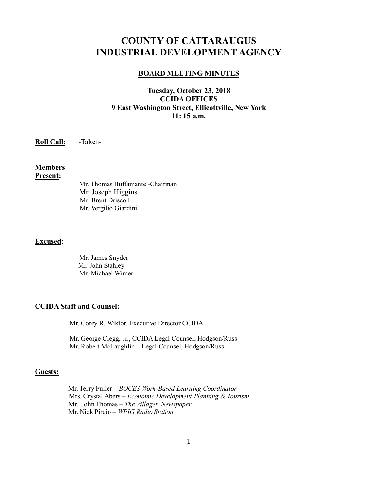# **COUNTY OF CATTARAUGUS INDUSTRIAL DEVELOPMENT AGENCY**

#### **BOARD MEETING MINUTES**

# **Tuesday, October 23, 2018 CCIDA OFFICES 9 East Washington Street, Ellicottville, New York 11: 15 a.m.**

**Roll Call:** -Taken-

# **Members**

# **Present:**

Mr. Thomas Buffamante -Chairman Mr. Joseph Higgins Mr. Brent Driscoll Mr. Vergilio Giardini

## **Excused**:

Mr. James Snyder Mr. John Stahley Mr. Michael Wimer

#### **CCIDA Staff and Counsel:**

Mr. Corey R. Wiktor, Executive Director CCIDA

Mr. George Cregg, Jr., CCIDA Legal Counsel, Hodgson/Russ Mr. Robert McLaughlin – Legal Counsel, Hodgson/Russ

## **Guests:**

 Mr. Terry Fuller *– BOCES Work-Based Learning Coordinator* Mrs. Crystal Abers – *Economic Development Planning & Tourism* Mr. John Thomas – *The Villager, Newspaper* Mr. Nick Pircio – *WPIG Radio Station*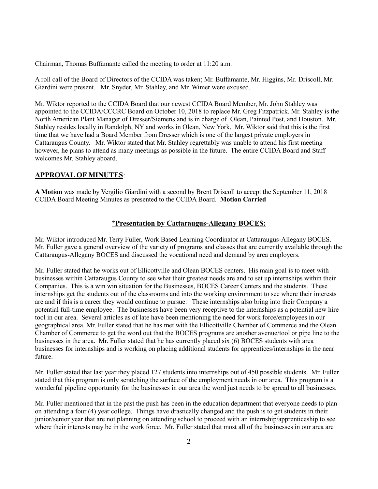Chairman, Thomas Buffamante called the meeting to order at 11:20 a.m.

A roll call of the Board of Directors of the CCIDA was taken; Mr. Buffamante, Mr. Higgins, Mr. Driscoll, Mr. Giardini were present. Mr. Snyder, Mr. Stahley, and Mr. Wimer were excused.

Mr. Wiktor reported to the CCIDA Board that our newest CCIDA Board Member, Mr. John Stahley was appointed to the CCIDA/CCCRC Board on October 10, 2018 to replace Mr. Greg Fitzpatrick. Mr. Stahley is the North American Plant Manager of Dresser/Siemens and is in charge of Olean, Painted Post, and Houston. Mr. Stahley resides locally in Randolph, NY and works in Olean, New York. Mr. Wiktor said that this is the first time that we have had a Board Member from Dresser which is one of the largest private employers in Cattaraugus County. Mr. Wiktor stated that Mr. Stahley regrettably was unable to attend his first meeting however, he plans to attend as many meetings as possible in the future. The entire CCIDA Board and Staff welcomes Mr. Stahley aboard.

#### **APPROVAL OF MINUTES**:

**A Motion** was made by Vergilio Giardini with a second by Brent Driscoll to accept the September 11, 2018 CCIDA Board Meeting Minutes as presented to the CCIDA Board. **Motion Carried**

#### **\*Presentation by Cattaraugus-Allegany BOCES:**

Mr. Wiktor introduced Mr. Terry Fuller, Work Based Learning Coordinator at Cattaraugus-Allegany BOCES. Mr. Fuller gave a general overview of the variety of programs and classes that are currently available through the Cattaraugus-Allegany BOCES and discussed the vocational need and demand by area employers.

Mr. Fuller stated that he works out of Ellicottville and Olean BOCES centers. His main goal is to meet with businesses within Cattaraugus County to see what their greatest needs are and to set up internships within their Companies. This is a win win situation for the Businesses, BOCES Career Centers and the students. These internships get the students out of the classrooms and into the working environment to see where their interests are and if this is a career they would continue to pursue. These internships also bring into their Company a potential full-time employee. The businesses have been very receptive to the internships as a potential new hire tool in our area. Several articles as of late have been mentioning the need for work force/employees in our geographical area. Mr. Fuller stated that he has met with the Ellicottville Chamber of Commerce and the Olean Chamber of Commerce to get the word out that the BOCES programs are another avenue/tool or pipe line to the businesses in the area. Mr. Fuller stated that he has currently placed six (6) BOCES students with area businesses for internships and is working on placing additional students for apprentices/internships in the near future.

Mr. Fuller stated that last year they placed 127 students into internships out of 450 possible students. Mr. Fuller stated that this program is only scratching the surface of the employment needs in our area. This program is a wonderful pipeline opportunity for the businesses in our area the word just needs to be spread to all businesses.

Mr. Fuller mentioned that in the past the push has been in the education department that everyone needs to plan on attending a four (4) year college. Things have drastically changed and the push is to get students in their junior/senior year that are not planning on attending school to proceed with an internship/apprenticeship to see where their interests may be in the work force. Mr. Fuller stated that most all of the businesses in our area are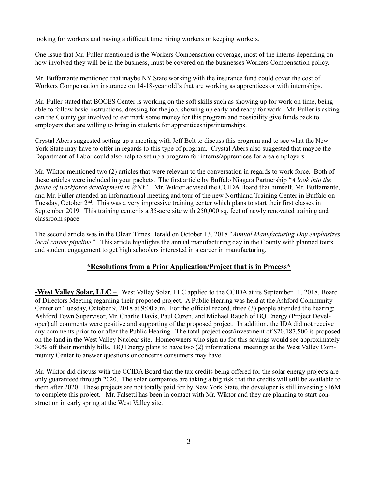looking for workers and having a difficult time hiring workers or keeping workers.

One issue that Mr. Fuller mentioned is the Workers Compensation coverage, most of the interns depending on how involved they will be in the business, must be covered on the businesses Workers Compensation policy.

Mr. Buffamante mentioned that maybe NY State working with the insurance fund could cover the cost of Workers Compensation insurance on 14-18-year old's that are working as apprentices or with internships.

Mr. Fuller stated that BOCES Center is working on the soft skills such as showing up for work on time, being able to follow basic instructions, dressing for the job, showing up early and ready for work. Mr. Fuller is asking can the County get involved to ear mark some money for this program and possibility give funds back to employers that are willing to bring in students for apprenticeships/internships.

Crystal Abers suggested setting up a meeting with Jeff Belt to discuss this program and to see what the New York State may have to offer in regards to this type of program. Crystal Abers also suggested that maybe the Department of Labor could also help to set up a program for interns/apprentices for area employers.

Mr. Wiktor mentioned two (2) articles that were relevant to the conversation in regards to work force. Both of these articles were included in your packets. The first article by Buffalo Niagara Partnership "*A look into the future of workforce development in WNY".* Mr. Wiktor advised the CCIDA Board that himself, Mr. Buffamante, and Mr. Fuller attended an informational meeting and tour of the new Northland Training Center in Buffalo on Tuesday, October 2<sup>nd</sup>. This was a very impressive training center which plans to start their first classes in September 2019. This training center is a 35-acre site with 250,000 sq. feet of newly renovated training and classroom space.

The second article was in the Olean Times Herald on October 13, 2018 "*Annual Manufacturing Day emphasizes local career pipeline".* This article highlights the annual manufacturing day in the County with planned tours and student engagement to get high schoolers interested in a career in manufacturing.

#### **\*Resolutions from a Prior Application/Project that is in Process\***

**-West Valley Solar, LLC –** West Valley Solar, LLC applied to the CCIDA at its September 11, 2018, Board of Directors Meeting regarding their proposed project. A Public Hearing was held at the Ashford Community Center on Tuesday, October 9, 2018 at 9:00 a.m. For the official record, three (3) people attended the hearing: Ashford Town Supervisor, Mr. Charlie Davis, Paul Cuzen, and Michael Rauch of BQ Energy (Project Developer) all comments were positive and supporting of the proposed project. In addition, the IDA did not receive any comments prior to or after the Public Hearing. The total project cost/investment of \$20,187,500 is proposed on the land in the West Valley Nuclear site. Homeowners who sign up for this savings would see approximately 30% off their monthly bills. BQ Energy plans to have two (2) informational meetings at the West Valley Community Center to answer questions or concerns consumers may have.

Mr. Wiktor did discuss with the CCIDA Board that the tax credits being offered for the solar energy projects are only guaranteed through 2020. The solar companies are taking a big risk that the credits will still be available to them after 2020. These projects are not totally paid for by New York State, the developer is still investing \$16M to complete this project. Mr. Falsetti has been in contact with Mr. Wiktor and they are planning to start construction in early spring at the West Valley site.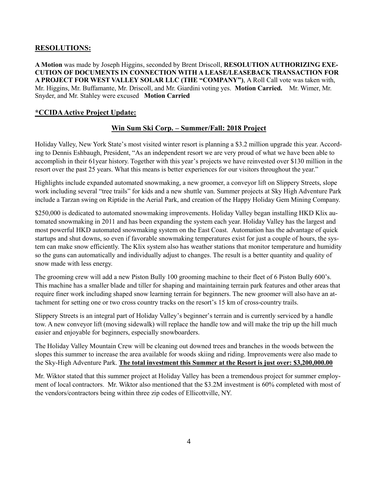## **RESOLUTIONS:**

**A Motion** was made by Joseph Higgins, seconded by Brent Driscoll, **RESOLUTION AUTHORIZING EXE-CUTION OF DOCUMENTS IN CONNECTION WITH A LEASE/LEASEBACK TRANSACTION FOR A PROJECT FOR WEST VALLEY SOLAR LLC (THE "COMPANY")**, A Roll Call vote was taken with, Mr. Higgins, Mr. Buffamante, Mr. Driscoll, and Mr. Giardini voting yes. **Motion Carried.** Mr. Wimer, Mr. Snyder, and Mr. Stahley were excused **Motion Carried**

# **\*CCIDA Active Project Update:**

# **Win Sum Ski Corp. – Summer/Fall: 2018 Project**

Holiday Valley, New York State's most visited winter resort is planning a \$3.2 million upgrade this year. According to Dennis Eshbaugh, President, "As an independent resort we are very proud of what we have been able to accomplish in their 61year history. Together with this year's projects we have reinvested over \$130 million in the resort over the past 25 years. What this means is better experiences for our visitors throughout the year."

Highlights include expanded automated snowmaking, a new groomer, a conveyor lift on Slippery Streets, slope work including several "tree trails" for kids and a new shuttle van. Summer projects at Sky High Adventure Park include a Tarzan swing on Riptide in the Aerial Park, and creation of the Happy Holiday Gem Mining Company.

\$250,000 is dedicated to automated snowmaking improvements. Holiday Valley began installing HKD Klix automated snowmaking in 2011 and has been expanding the system each year. Holiday Valley has the largest and most powerful HKD automated snowmaking system on the East Coast. Automation has the advantage of quick startups and shut downs, so even if favorable snowmaking temperatures exist for just a couple of hours, the system can make snow efficiently. The Klix system also has weather stations that monitor temperature and humidity so the guns can automatically and individually adjust to changes. The result is a better quantity and quality of snow made with less energy.

The grooming crew will add a new Piston Bully 100 grooming machine to their fleet of 6 Piston Bully 600's. This machine has a smaller blade and tiller for shaping and maintaining terrain park features and other areas that require finer work including shaped snow learning terrain for beginners. The new groomer will also have an attachment for setting one or two cross country tracks on the resort's 15 km of cross-country trails.

Slippery Streets is an integral part of Holiday Valley's beginner's terrain and is currently serviced by a handle tow. A new conveyor lift (moving sidewalk) will replace the handle tow and will make the trip up the hill much easier and enjoyable for beginners, especially snowboarders.

The Holiday Valley Mountain Crew will be cleaning out downed trees and branches in the woods between the slopes this summer to increase the area available for woods skiing and riding. Improvements were also made to the Sky-High Adventure Park. **The total investment this Summer at the Resort is just over: \$3,200,000.00**

Mr. Wiktor stated that this summer project at Holiday Valley has been a tremendous project for summer employment of local contractors. Mr. Wiktor also mentioned that the \$3.2M investment is 60% completed with most of the vendors/contractors being within three zip codes of Ellicottville, NY.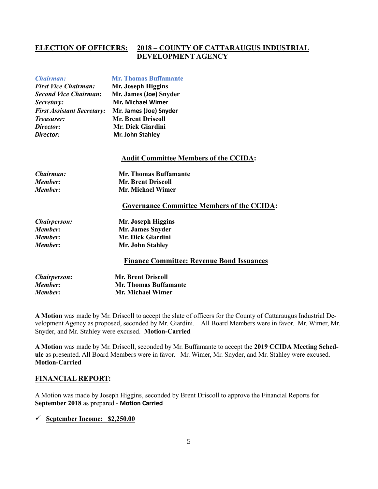## **ELECTION OF OFFICERS: 2018 – COUNTY OF CATTARAUGUS INDUSTRIAL DEVELOPMENT AGENCY**

| <b>Chairman:</b>                  | <b>Mr. Thomas Buffamante</b> |
|-----------------------------------|------------------------------|
| <b>First Vice Chairman:</b>       | Mr. Joseph Higgins           |
| <b>Second Vice Chairman:</b>      | Mr. James (Joe) Snyder       |
| Secretary:                        | Mr. Michael Wimer            |
| <b>First Assistant Secretary:</b> | Mr. James (Joe) Snyder       |
| Treasurer:                        | <b>Mr. Brent Driscoll</b>    |
| Director:                         | Mr. Dick Giardini            |
| Director:                         | Mr. John Stahley             |

#### **Audit Committee Members of the CCIDA:**

| <i>Chairman:</i> | <b>Mr. Thomas Buffamante</b> |
|------------------|------------------------------|
| Member:          | <b>Mr. Brent Driscoll</b>    |
| Member:          | Mr. Michael Wimer            |

#### **Governance Committee Members of the CCIDA:**

| <i>Chairperson:</i> | Mr. Joseph Higgins       |
|---------------------|--------------------------|
| Member:             | Mr. James Snyder         |
| Member:             | <b>Mr. Dick Giardini</b> |
| Member:             | Mr. John Stahley         |

#### **Finance Committee: Revenue Bond Issuances**

| <i>Chairperson:</i> | <b>Mr. Brent Driscoll</b>    |
|---------------------|------------------------------|
| Member:             | <b>Mr. Thomas Buffamante</b> |
| Member:             | <b>Mr. Michael Wimer</b>     |

**A Motion** was made by Mr. Driscoll to accept the slate of officers for the County of Cattaraugus Industrial Development Agency as proposed, seconded by Mr. Giardini. All Board Members were in favor. Mr. Wimer, Mr. Snyder, and Mr. Stahley were excused. **Motion-Carried**

**A Motion** was made by Mr. Driscoll, seconded by Mr. Buffamante to accept the **2019 CCIDA Meeting Schedule** as presented. All Board Members were in favor. Mr. Wimer, Mr. Snyder, and Mr. Stahley were excused. **Motion-Carried**

#### **FINANCIAL REPORT:**

A Motion was made by Joseph Higgins, seconded by Brent Driscoll to approve the Financial Reports for **September 2018** as prepared - **Motion Carried**

#### ✓ **September Income: \$2,250.00**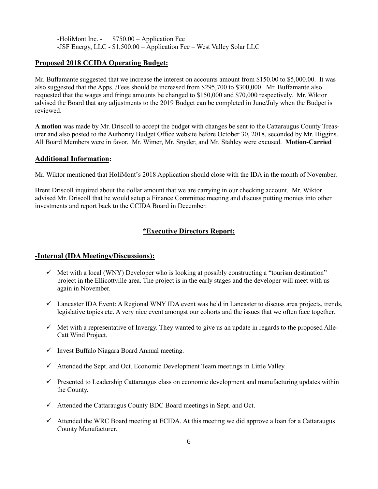*-*HoliMont Inc. - \$750.00 – Application Fee -JSF Energy, LLC - \$1,500.00 – Application Fee – West Valley Solar LLC

#### **Proposed 2018 CCIDA Operating Budget:**

Mr. Buffamante suggested that we increase the interest on accounts amount from \$150.00 to \$5,000.00. It was also suggested that the Apps. /Fees should be increased from \$295,700 to \$300,000. Mr. Buffamante also requested that the wages and fringe amounts be changed to \$150,000 and \$70,000 respectively. Mr. Wiktor advised the Board that any adjustments to the 2019 Budget can be completed in June/July when the Budget is reviewed.

**A motion** was made by Mr. Driscoll to accept the budget with changes be sent to the Cattaraugus County Treasurer and also posted to the Authority Budget Office website before October 30, 2018, seconded by Mr. Higgins. All Board Members were in favor. Mr. Wimer, Mr. Snyder, and Mr. Stahley were excused. **Motion-Carried**

#### **Additional Information:**

Mr. Wiktor mentioned that HoliMont's 2018 Application should close with the IDA in the month of November.

Brent Driscoll inquired about the dollar amount that we are carrying in our checking account. Mr. Wiktor advised Mr. Driscoll that he would setup a Finance Committee meeting and discuss putting monies into other investments and report back to the CCIDA Board in December.

#### **\*Executive Directors Report:**

#### **-Internal (IDA Meetings/Discussions):**

- $\checkmark$  Met with a local (WNY) Developer who is looking at possibly constructing a "tourism destination" project in the Ellicottville area. The project is in the early stages and the developer will meet with us again in November.
- $\checkmark$  Lancaster IDA Event: A Regional WNY IDA event was held in Lancaster to discuss area projects, trends, legislative topics etc. A very nice event amongst our cohorts and the issues that we often face together.
- $\checkmark$  Met with a representative of Invergy. They wanted to give us an update in regards to the proposed Alle-Catt Wind Project.
- ✓ Invest Buffalo Niagara Board Annual meeting.
- $\checkmark$  Attended the Sept. and Oct. Economic Development Team meetings in Little Valley.
- $\checkmark$  Presented to Leadership Cattaraugus class on economic development and manufacturing updates within the County.
- $\checkmark$  Attended the Cattaraugus County BDC Board meetings in Sept. and Oct.
- ✓ Attended the WRC Board meeting at ECIDA. At this meeting we did approve a loan for a Cattaraugus County Manufacturer.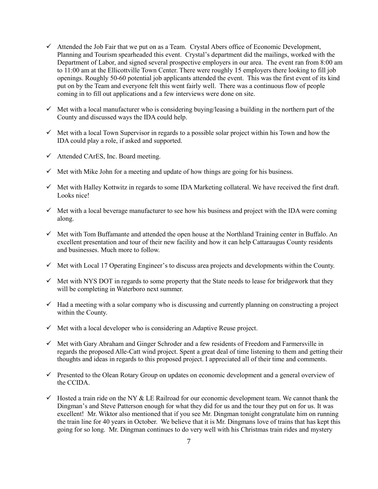- ✓ Attended the Job Fair that we put on as a Team. Crystal Abers office of Economic Development, Planning and Tourism spearheaded this event. Crystal's department did the mailings, worked with the Department of Labor, and signed several prospective employers in our area. The event ran from 8:00 am to 11:00 am at the Ellicottville Town Center. There were roughly 15 employers there looking to fill job openings. Roughly 50-60 potential job applicants attended the event. This was the first event of its kind put on by the Team and everyone felt this went fairly well. There was a continuous flow of people coming in to fill out applications and a few interviews were done on site.
- ✓ Met with a local manufacturer who is considering buying/leasing a building in the northern part of the County and discussed ways the IDA could help.
- $\checkmark$  Met with a local Town Supervisor in regards to a possible solar project within his Town and how the IDA could play a role, if asked and supported.
- $\checkmark$  Attended CArES, Inc. Board meeting.
- $\checkmark$  Met with Mike John for a meeting and update of how things are going for his business.
- $\checkmark$  Met with Halley Kottwitz in regards to some IDA Marketing collateral. We have received the first draft. Looks nice!
- $\checkmark$  Met with a local beverage manufacturer to see how his business and project with the IDA were coming along.
- $\checkmark$  Met with Tom Buffamante and attended the open house at the Northland Training center in Buffalo. An excellent presentation and tour of their new facility and how it can help Cattaraugus County residents and businesses. Much more to follow.
- $\checkmark$  Met with Local 17 Operating Engineer's to discuss area projects and developments within the County.
- $\checkmark$  Met with NYS DOT in regards to some property that the State needs to lease for bridgework that they will be completing in Waterboro next summer.
- ✓ Had a meeting with a solar company who is discussing and currently planning on constructing a project within the County.
- $\checkmark$  Met with a local developer who is considering an Adaptive Reuse project.
- ✓ Met with Gary Abraham and Ginger Schroder and a few residents of Freedom and Farmersville in regards the proposed Alle-Catt wind project. Spent a great deal of time listening to them and getting their thoughts and ideas in regards to this proposed project. I appreciated all of their time and comments.
- $\checkmark$  Presented to the Olean Rotary Group on updates on economic development and a general overview of the CCIDA.
- ✓ Hosted a train ride on the NY & LE Railroad for our economic development team. We cannot thank the Dingman's and Steve Patterson enough for what they did for us and the tour they put on for us. It was excellent! Mr. Wiktor also mentioned that if you see Mr. Dingman tonight congratulate him on running the train line for 40 years in October. We believe that it is Mr. Dingmans love of trains that has kept this going for so long. Mr. Dingman continues to do very well with his Christmas train rides and mystery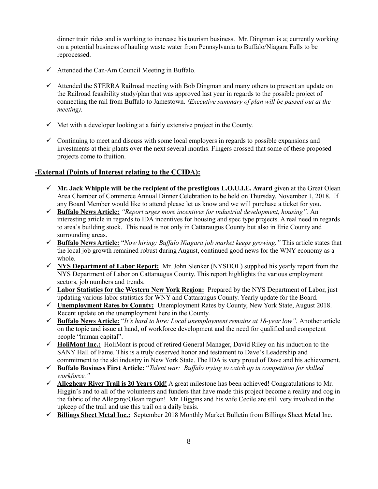dinner train rides and is working to increase his tourism business. Mr. Dingman is a; currently working on a potential business of hauling waste water from Pennsylvania to Buffalo/Niagara Falls to be reprocessed.

- $\checkmark$  Attended the Can-Am Council Meeting in Buffalo.
- $\checkmark$  Attended the STERRA Railroad meeting with Bob Dingman and many others to present an update on the Railroad feasibility study/plan that was approved last year in regards to the possible project of connecting the rail from Buffalo to Jamestown. *(Executive summary of plan will be passed out at the meeting).*
- $\checkmark$  Met with a developer looking at a fairly extensive project in the County.
- $\checkmark$  Continuing to meet and discuss with some local employers in regards to possible expansions and investments at their plants over the next several months. Fingers crossed that some of these proposed projects come to fruition.

# **-External (Points of Interest relating to the CCIDA):**

- $\checkmark$  Mr. Jack Whipple will be the recipient of the prestigious L.O.U.I.E. Award given at the Great Olean Area Chamber of Commerce Annual Dinner Celebration to be held on Thursday, November 1, 2018. If any Board Member would like to attend please let us know and we will purchase a ticket for you.
- ✓ **Buffalo News Article:** *"Report urges more incentives for industrial development, housing".* An interesting article in regards to IDA incentives for housing and spec type projects. A real need in regards to area's building stock. This need is not only in Cattaraugus County but also in Erie County and surrounding areas.
- ✓ **Buffalo News Article:** "*Now hiring: Buffalo Niagara job market keeps growing."* This article states that the local job growth remained robust during August, continued good news for the WNY economy as a whole.
- ✓ **NYS Department of Labor Report:** Mr. John Slenker (NYSDOL) supplied his yearly report from the NYS Department of Labor on Cattaraugus County. This report highlights the various employment sectors, job numbers and trends.
- ✓ **Labor Statistics for the Western New York Region:** Prepared by the NYS Department of Labor, just updating various labor statistics for WNY and Cattaraugus County. Yearly update for the Board.
- ✓ **Unemployment Rates by County:**Unemployment Rates by County, New York State, August 2018. Recent update on the unemployment here in the County.
- ✓ **Buffalo News Article:** "*It's hard to hire: Local unemployment remains at 18-year low".* Another article on the topic and issue at hand, of workforce development and the need for qualified and competent people "human capital".
- ✓ **HoliMont Inc.:** HoliMont is proud of retired General Manager, David Riley on his induction to the SANY Hall of Fame. This is a truly deserved honor and testament to Dave's Leadership and commitment to the ski industry in New York State. The IDA is very proud of Dave and his achievement.
- ✓ **Buffalo Business First Article:** "*Talent war: Buffalo trying to catch up in competition for skilled workforce."*
- ✓ **Allegheny River Trail is 20 Years Old!** A great milestone has been achieved! Congratulations to Mr. Higgin's and to all of the volunteers and funders that have made this project become a reality and cog in the fabric of the Allegany/Olean region! Mr. Higgins and his wife Cecile are still very involved in the upkeep of the trail and use this trail on a daily basis.
- ✓ **Billings Sheet Metal Inc.:** September 2018 Monthly Market Bulletin from Billings Sheet Metal Inc.